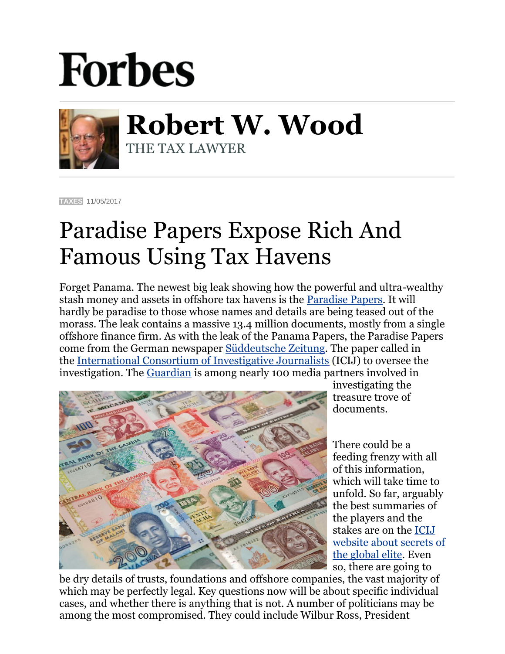## **Forbes**



**Robert W. Wood** THE TAX LAWYER

**[TAXES](https://www.forbes.com/taxes)** 11/05/2017

## Paradise Papers Expose Rich And Famous Using Tax Havens

Forget Panama. The newest big leak showing how the powerful and ultra-wealthy stash money and assets in offshore tax havens is the [Paradise Papers.](http://www.bbc.co.uk/news/paradisepapers) It will hardly be paradise to those whose names and details are being teased out of the morass. The leak contains a massive 13.4 million documents, mostly from a single offshore finance firm. As with the leak of the Panama Papers, the Paradise Papers come from the German newspaper [Süddeutsche Zeitung.](http://www.sueddeutsche.de/) The paper called in the [International Consortium of Investigative Journalists](https://www.icij.org/) (ICIJ) to oversee the investigation. The [Guardian](https://www.theguardian.com/uk) is among nearly 100 media partners involved in



investigating the treasure trove of documents.

There could be a feeding frenzy with all of this information, which will take time to unfold. So far, arguably the best summaries of the players and the stakes are on the [ICIJ](https://www.google.com/url?sa=t&rct=j&q=&esrc=s&source=web&cd=20&cad=rja&uact=8&ved=0ahUKEwiBruLZpajXAhXJLmMKHVTiCMAQFghwMBM&url=https%3A%2F%2Fwww.icij.org%2Finvestigations%2Fparadise-papers%2F&usg=AOvVaw109EM2vb3gl3eFyToy-5s_)  [website about secrets of](https://www.google.com/url?sa=t&rct=j&q=&esrc=s&source=web&cd=20&cad=rja&uact=8&ved=0ahUKEwiBruLZpajXAhXJLmMKHVTiCMAQFghwMBM&url=https%3A%2F%2Fwww.icij.org%2Finvestigations%2Fparadise-papers%2F&usg=AOvVaw109EM2vb3gl3eFyToy-5s_)  [the global elite.](https://www.google.com/url?sa=t&rct=j&q=&esrc=s&source=web&cd=20&cad=rja&uact=8&ved=0ahUKEwiBruLZpajXAhXJLmMKHVTiCMAQFghwMBM&url=https%3A%2F%2Fwww.icij.org%2Finvestigations%2Fparadise-papers%2F&usg=AOvVaw109EM2vb3gl3eFyToy-5s_) Even so, there are going to

be dry details of trusts, foundations and offshore companies, the vast majority of which may be perfectly legal. Key questions now will be about specific individual cases, and whether there is anything that is not. A number of politicians may be among the most compromised. They could include Wilbur Ross, President